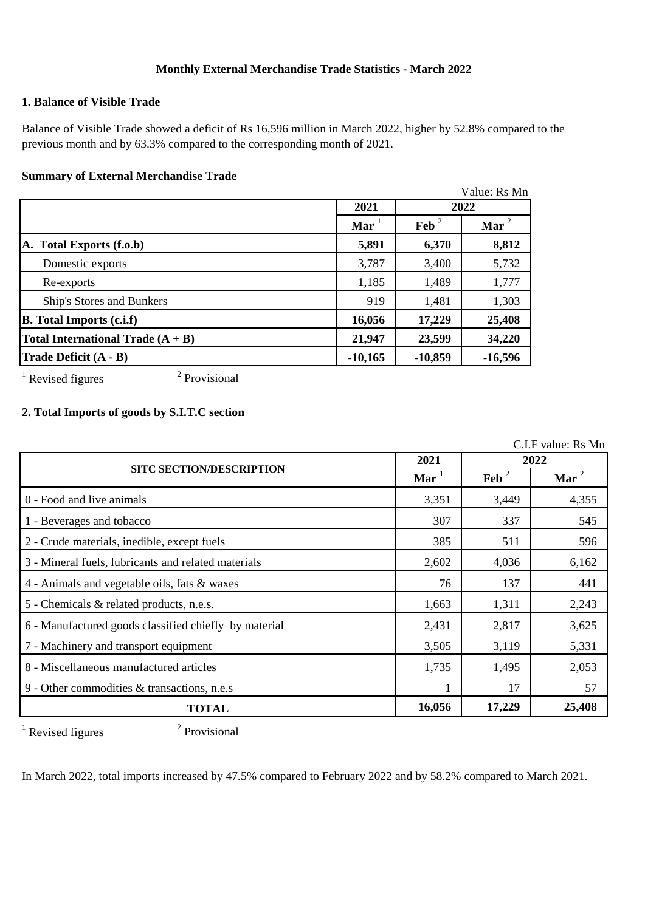# **Monthly External Merchandise Trade Statistics - March 2022**

## **1. Balance of Visible Trade**

Balance of Visible Trade showed a deficit of Rs 16,596 million in March 2022, higher by 52.8% compared to the previous month and by 63.3% compared to the corresponding month of 2021.

#### **Summary of External Merchandise Trade**

|                                     |                      |                  | Value: Rs Mn |  |
|-------------------------------------|----------------------|------------------|--------------|--|
|                                     | 2021                 | 2022             |              |  |
|                                     | $\text{Mar}^{\perp}$ | $\mathbf{Feb}^2$ | Mar $^2$     |  |
| A. Total Exports (f.o.b)            | 5,891                | 6,370            | 8,812        |  |
| Domestic exports                    | 3,787                | 3,400            | 5,732        |  |
| Re-exports                          | 1,185                | 1,489            | 1,777        |  |
| Ship's Stores and Bunkers           | 919                  | 1,481            | 1,303        |  |
| <b>B.</b> Total Imports (c.i.f)     | 16,056               | 17,229           | 25,408       |  |
| Total International Trade $(A + B)$ | 23,599<br>21,947     |                  | 34,220       |  |
| Trade Deficit (A - B)               | $-10,165$            | $-10,859$        | $-16,596$    |  |

 $1$  Revised figures

2 Provisional

# **2. Total Imports of goods by S.I.T.C section**

C.I.F value: Rs Mn

|                                                       | 2021                | 2022             |          |
|-------------------------------------------------------|---------------------|------------------|----------|
| <b>SITC SECTION/DESCRIPTION</b>                       | $\mathbf{Mar}^{-1}$ | $\mathbf{Feb}^2$ | Mar $^2$ |
| 0 - Food and live animals                             | 3,351               | 3,449            | 4,355    |
| 1 - Beverages and tobacco                             | 307                 | 337              | 545      |
| 2 - Crude materials, inedible, except fuels           | 385                 | 511              | 596      |
| 3 - Mineral fuels, lubricants and related materials   | 2,602               | 4,036            | 6,162    |
| 4 - Animals and vegetable oils, fats & waxes          | 76                  | 137              | 441      |
| 5 - Chemicals & related products, n.e.s.              | 1,663               | 1,311            | 2,243    |
| 6 - Manufactured goods classified chiefly by material | 2,431               | 2,817            | 3,625    |
| 7 - Machinery and transport equipment                 | 3,505               | 3,119            | 5,331    |
| 8 - Miscellaneous manufactured articles               | 1,735               | 1,495            | 2,053    |
| 9 - Other commodities & transactions, n.e.s           |                     | 17               | 57       |
| <b>TOTAL</b>                                          | 16,056              | 17,229           | 25,408   |

 $1$  Revised figures

2 Provisional

In March 2022, total imports increased by 47.5% compared to February 2022 and by 58.2% compared to March 2021.